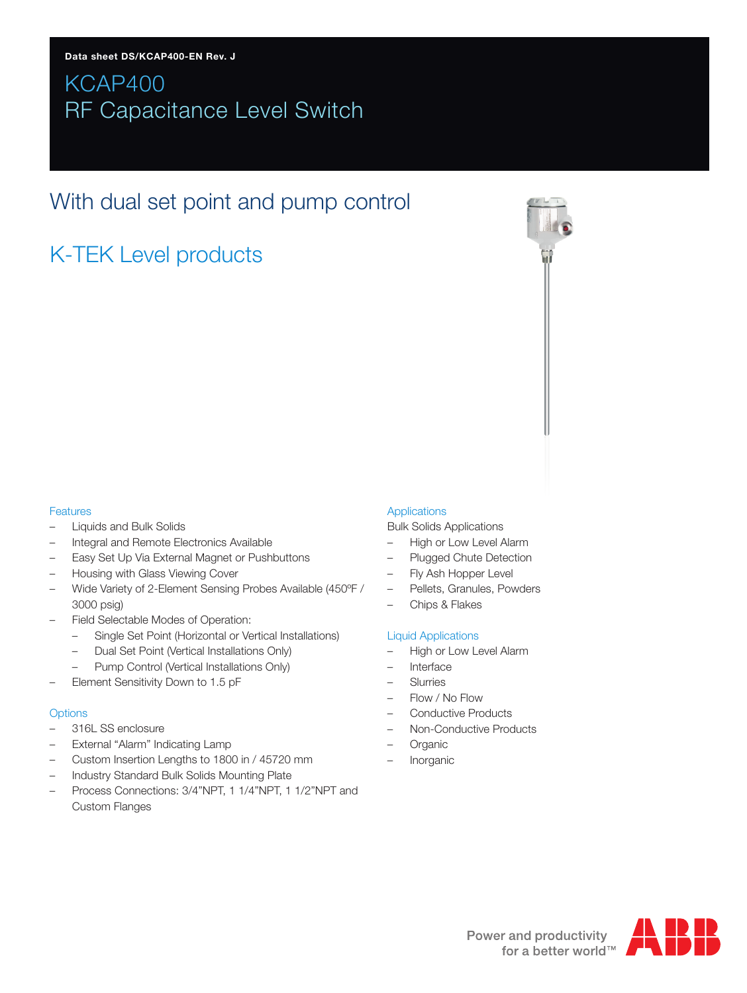# KCAP400 RF Capacitance Level Switch

# With dual set point and pump control

# K-TEK Level products

## Features

- Liquids and Bulk Solids
- Integral and Remote Electronics Available
- Easy Set Up Via External Magnet or Pushbuttons
- Housing with Glass Viewing Cover
- Wide Variety of 2-Element Sensing Probes Available (450ºF / 3000 psig)
- Field Selectable Modes of Operation:
	- Single Set Point (Horizontal or Vertical Installations)
	- Dual Set Point (Vertical Installations Only)
	- Pump Control (Vertical Installations Only)
- Element Sensitivity Down to 1.5 pF

## **Options**

- 316L SS enclosure
- External "Alarm" Indicating Lamp
- Custom Insertion Lengths to 1800 in / 45720 mm
- Industry Standard Bulk Solids Mounting Plate
- Process Connections: 3/4"NPT, 1 1/4"NPT, 1 1/2"NPT and Custom Flanges

## Applications

Bulk Solids Applications

- High or Low Level Alarm
- Plugged Chute Detection
- Fly Ash Hopper Level
- Pellets, Granules, Powders
- Chips & Flakes

## Liquid Applications

- High or Low Level Alarm
- Interface
- **Slurries**
- Flow / No Flow
- Conductive Products
- Non-Conductive Products
- **Organic**
- Inorganic

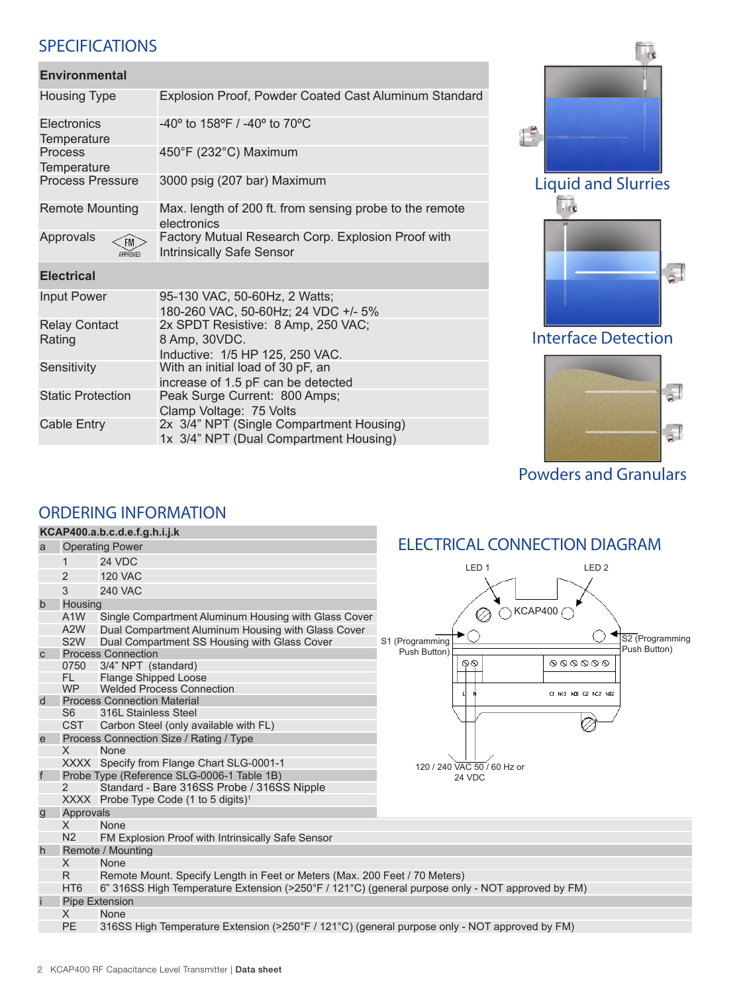# SPECIFICATIONS

| <b>Environmental</b>           |                                                                                        |
|--------------------------------|----------------------------------------------------------------------------------------|
| <b>Housing Type</b>            | Explosion Proof, Powder Coated Cast Aluminum Standard                                  |
| Electronics<br>Temperature     | $-40^{\circ}$ to 158°F / $-40^{\circ}$ to 70°C                                         |
| Process<br>Temperature         | 450°F (232°C) Maximum                                                                  |
| <b>Process Pressure</b>        | 3000 psig (207 bar) Maximum                                                            |
| <b>Remote Mounting</b>         | Max. length of 200 ft. from sensing probe to the remote<br>electronics                 |
| Approvals<br>FM<br>APPROVED    | Factory Mutual Research Corp. Explosion Proof with<br><b>Intrinsically Safe Sensor</b> |
| <b>Electrical</b>              |                                                                                        |
| <b>Input Power</b>             | 95-130 VAC, 50-60Hz, 2 Watts;<br>180-260 VAC, 50-60Hz; 24 VDC +/- 5%                   |
| <b>Relay Contact</b><br>Rating | 2x SPDT Resistive: 8 Amp, 250 VAC;<br>8 Amp, 30VDC.<br>Inductive: 1/5 HP 125, 250 VAC. |
| Sensitivity                    | With an initial load of 30 pF, an<br>increase of 1.5 pF can be detected                |
| <b>Static Protection</b>       | Peak Surge Current: 800 Amps;<br>Clamp Voltage: 75 Volts                               |
| Cable Entry                    | 2x 3/4" NPT (Single Compartment Housing)<br>1x 3/4" NPT (Dual Compartment Housing)     |
|                                |                                                                                        |



Powders and Granulars

# ORDERING INFORMATION

#### **KCAP400.a.b.c.d.e.f.g.h.i.j.k** ELECTRICAL CONNECTION DIAGRAM a Operating Power 1 24 VDC LED 1 LED 2 2 120 VAC 3 240 VAC b Housing  $\oslash$  KCAP400 A1W Single Compartment Aluminum Housing with Glass Cover<br>A2W Dual Compartment Aluminum Housing with Glass Cover A2W Dual Compartment Aluminum Housing with Glass Cover<br>S2W Dual Compartment SS Housing with Glass Cover S1 (Programming S2 (Programming<br>Push Button) Dual Compartment SS Housing with Glass Cover Push Button) Process Connection  $\mathbb{Q} \mathbb{Q}$  $\begin{smallmatrix} \bullet \bullet \bullet \bullet \bullet \bullet \bullet \bullet \bullet \end{smallmatrix}$ 0750 3/4" NPT (standard)<br>FL Flange Shipped Loos FL Flange Shipped Loose<br>WP Welded Process Conn Welded Process Connection C1 NC1 ND1 C2 NC2 ND d Process Connection Material<br>S6 316L Stainless Steel 316L Stainless Steel CST Carbon Steel (only available with FL) e Process Connection Size / Rating / Type<br>X None **None** XXXX Specify from Flange Chart SLG-0001-1 120 / 240 VAC 50 / 60 Hz or f Probe Type (Reference SLG-0006-1 Table 1B) 24 VDCStandard - Bare 316SS Probe / 316SS Nipple XXXX Probe Type Code (1 to 5 digits)<sup>1</sup> Approvals<br>X No X None<br>N2 FM E FM Explosion Proof with Intrinsically Safe Sensor h Remote / Mounting X None R Remote Mount. Specify Length in Feet or Meters (Max. 200 Feet / 70 Meters) HT6 6" 316SS High Temperature Extension (>250°F / 121°C) (general purpose only - NOT approved by FM) Pipe Extension X None PE 316SS High Temperature Extension (>250°F / 121°C) (general purpose only - NOT approved by FM)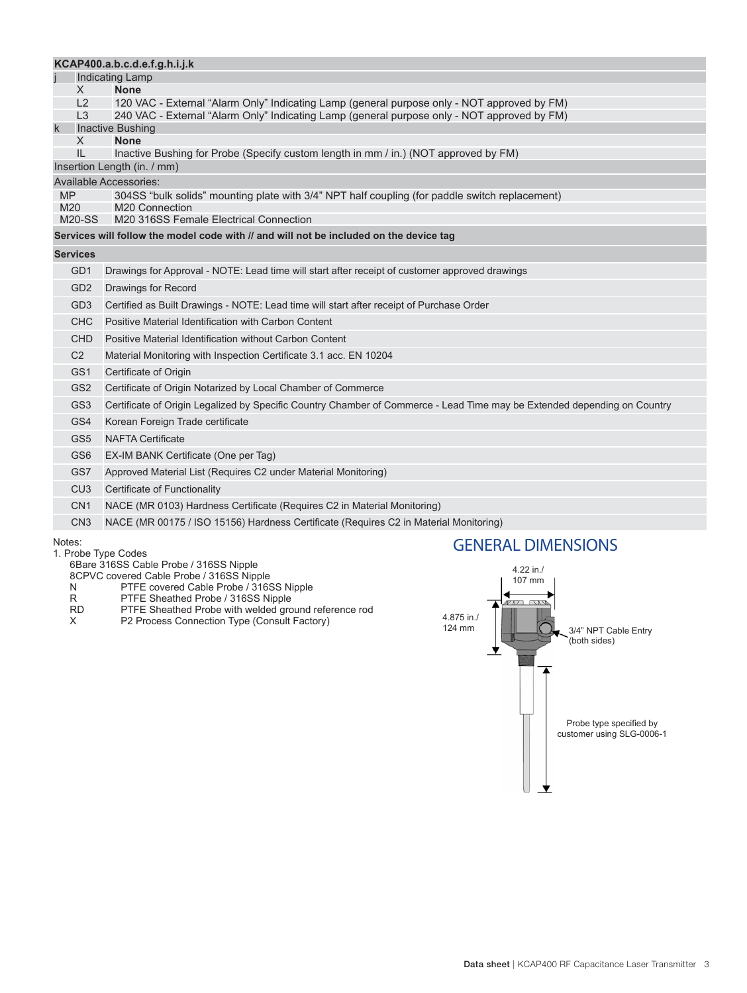|                                                                                                                                                  | KCAP400.a.b.c.d.e.f.g.h.i.j.k                                                                                            |  |
|--------------------------------------------------------------------------------------------------------------------------------------------------|--------------------------------------------------------------------------------------------------------------------------|--|
|                                                                                                                                                  | <b>Indicating Lamp</b>                                                                                                   |  |
| X                                                                                                                                                | <b>None</b>                                                                                                              |  |
| L2                                                                                                                                               | 120 VAC - External "Alarm Only" Indicating Lamp (general purpose only - NOT approved by FM)                              |  |
| $\overline{3}$<br>240 VAC - External "Alarm Only" Indicating Lamp (general purpose only - NOT approved by FM)<br>$\mathsf k$<br>Inactive Bushing |                                                                                                                          |  |
| <b>None</b><br>X                                                                                                                                 |                                                                                                                          |  |
| IL                                                                                                                                               | Inactive Bushing for Probe (Specify custom length in mm / in.) (NOT approved by FM)                                      |  |
| Insertion Length (in. / mm)                                                                                                                      |                                                                                                                          |  |
| <b>Available Accessories:</b>                                                                                                                    |                                                                                                                          |  |
| <b>MP</b><br>M20                                                                                                                                 | 304SS "bulk solids" mounting plate with 3/4" NPT half coupling (for paddle switch replacement)<br>M20 Connection         |  |
| $M20-SS$                                                                                                                                         | M20 316SS Female Electrical Connection                                                                                   |  |
| Services will follow the model code with // and will not be included on the device tag                                                           |                                                                                                                          |  |
| <b>Services</b>                                                                                                                                  |                                                                                                                          |  |
| GD1                                                                                                                                              | Drawings for Approval - NOTE: Lead time will start after receipt of customer approved drawings                           |  |
| GD <sub>2</sub>                                                                                                                                  | Drawings for Record                                                                                                      |  |
| GD <sub>3</sub>                                                                                                                                  | Certified as Built Drawings - NOTE: Lead time will start after receipt of Purchase Order                                 |  |
| <b>CHC</b>                                                                                                                                       | Positive Material Identification with Carbon Content                                                                     |  |
| <b>CHD</b>                                                                                                                                       | Positive Material Identification without Carbon Content                                                                  |  |
| C2                                                                                                                                               | Material Monitoring with Inspection Certificate 3.1 acc. EN 10204                                                        |  |
| GS1                                                                                                                                              | Certificate of Origin                                                                                                    |  |
| GS <sub>2</sub>                                                                                                                                  | Certificate of Origin Notarized by Local Chamber of Commerce                                                             |  |
| GS <sub>3</sub>                                                                                                                                  | Certificate of Origin Legalized by Specific Country Chamber of Commerce - Lead Time may be Extended depending on Country |  |
| GS4                                                                                                                                              | Korean Foreign Trade certificate                                                                                         |  |
| GS <sub>5</sub>                                                                                                                                  | <b>NAFTA Certificate</b>                                                                                                 |  |
| GS <sub>6</sub>                                                                                                                                  | EX-IM BANK Certificate (One per Tag)                                                                                     |  |
| GS7                                                                                                                                              | Approved Material List (Requires C2 under Material Monitoring)                                                           |  |
| CU <sub>3</sub>                                                                                                                                  | Certificate of Functionality                                                                                             |  |
| CN <sub>1</sub>                                                                                                                                  | NACE (MR 0103) Hardness Certificate (Requires C2 in Material Monitoring)                                                 |  |
| CN <sub>3</sub>                                                                                                                                  | NACE (MR 00175 / ISO 15156) Hardness Certificate (Requires C2 in Material Monitoring)                                    |  |
| Notes:                                                                                                                                           | <b>GENERAL DIMENSIONS</b><br>1. Probe Type Codes                                                                         |  |

6Bare 316SS Cable Probe / 316SS Nipple

8CPVC covered Cable Probe / 316SS Nipple

N PTFE covered Cable Probe / 316SS Nipple

- R PTFE Sheathed Probe / 316SS Nipple
- RD PTFE Sheathed Probe with welded ground reference rod
- X P2 Process Connection Type (Consult Factory)